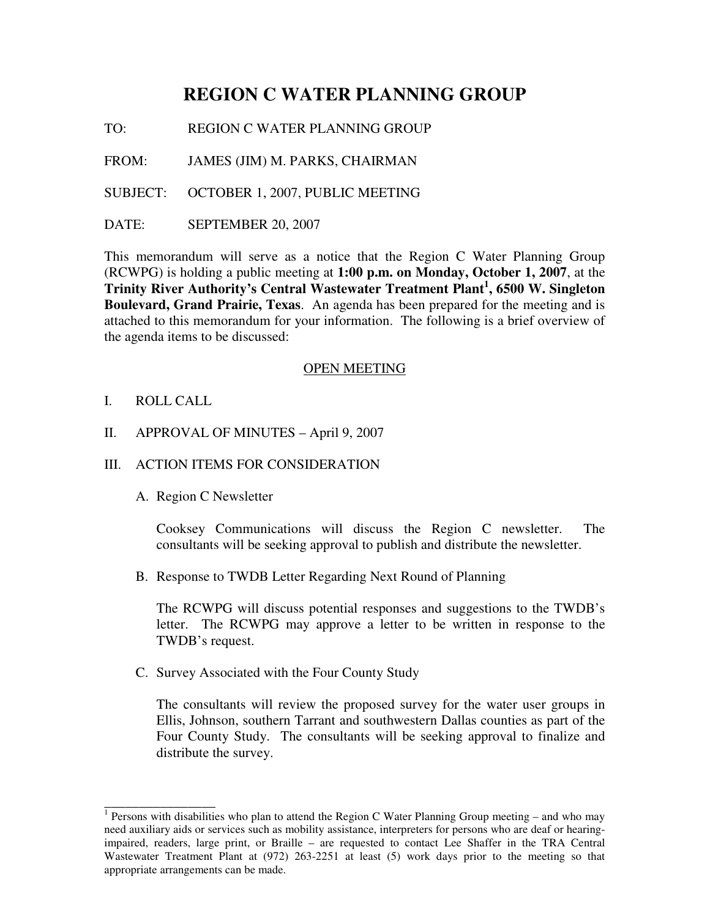# **REGION C WATER PLANNING GROUP**

TO: REGION C WATER PLANNING GROUP

FROM: JAMES (JIM) M. PARKS, CHAIRMAN

SUBJECT: OCTOBER 1, 2007, PUBLIC MEETING

DATE: SEPTEMBER 20, 2007

This memorandum will serve as a notice that the Region C Water Planning Group (RCWPG) is holding a public meeting at **1:00 p.m. on Monday, October 1, 2007**, at the **Trinity River Authority's Central Wastewater Treatment Plant 1 , 6500 W. Singleton Boulevard, Grand Prairie, Texas**. An agenda has been prepared for the meeting and is attached to this memorandum for your information. The following is a brief overview of the agenda items to be discussed:

#### OPEN MEETING

I. ROLL CALL

\_\_\_\_\_\_\_\_\_\_\_\_\_\_\_\_

II. APPROVAL OF MINUTES – April 9, 2007

## III. ACTION ITEMS FOR CONSIDERATION

A. Region C Newsletter

Cooksey Communications will discuss the Region C newsletter. The consultants will be seeking approval to publish and distribute the newsletter.

B. Response to TWDB Letter Regarding Next Round of Planning

The RCWPG will discuss potential responses and suggestions to the TWDB's letter. The RCWPG may approve a letter to be written in response to the TWDB's request.

C. Survey Associated with the Four County Study

The consultants will review the proposed survey for the water user groups in Ellis, Johnson, southern Tarrant and southwestern Dallas counties as part of the Four County Study. The consultants will be seeking approval to finalize and distribute the survey.

<sup>&</sup>lt;sup>1</sup> Persons with disabilities who plan to attend the Region C Water Planning Group meeting – and who may need auxiliary aids or services such as mobility assistance, interpreters for persons who are deaf or hearingimpaired, readers, large print, or Braille – are requested to contact Lee Shaffer in the TRA Central Wastewater Treatment Plant at (972) 263-2251 at least (5) work days prior to the meeting so that appropriate arrangements can be made.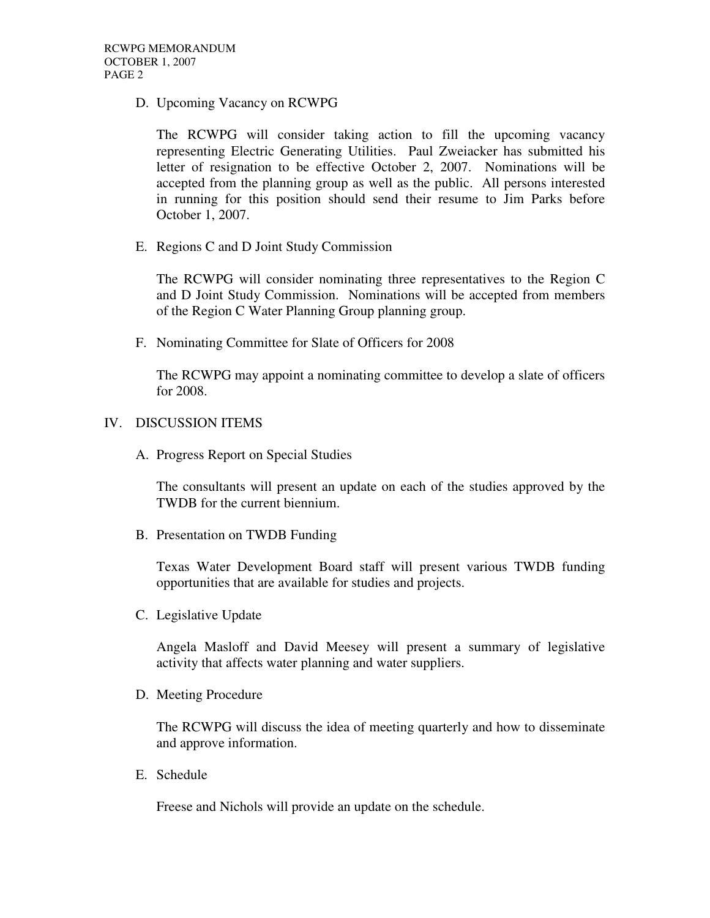D. Upcoming Vacancy on RCWPG

The RCWPG will consider taking action to fill the upcoming vacancy representing Electric Generating Utilities. Paul Zweiacker has submitted his letter of resignation to be effective October 2, 2007. Nominations will be accepted from the planning group as well as the public. All persons interested in running for this position should send their resume to Jim Parks before October 1, 2007.

E. Regions C and D Joint Study Commission

The RCWPG will consider nominating three representatives to the Region C and D Joint Study Commission. Nominations will be accepted from members of the Region C Water Planning Group planning group.

F. Nominating Committee for Slate of Officers for 2008

The RCWPG may appoint a nominating committee to develop a slate of officers for 2008.

#### IV. DISCUSSION ITEMS

A. Progress Report on Special Studies

The consultants will present an update on each of the studies approved by the TWDB for the current biennium.

B. Presentation on TWDB Funding

Texas Water Development Board staff will present various TWDB funding opportunities that are available for studies and projects.

C. Legislative Update

Angela Masloff and David Meesey will present a summary of legislative activity that affects water planning and water suppliers.

D. Meeting Procedure

The RCWPG will discuss the idea of meeting quarterly and how to disseminate and approve information.

E. Schedule

Freese and Nichols will provide an update on the schedule.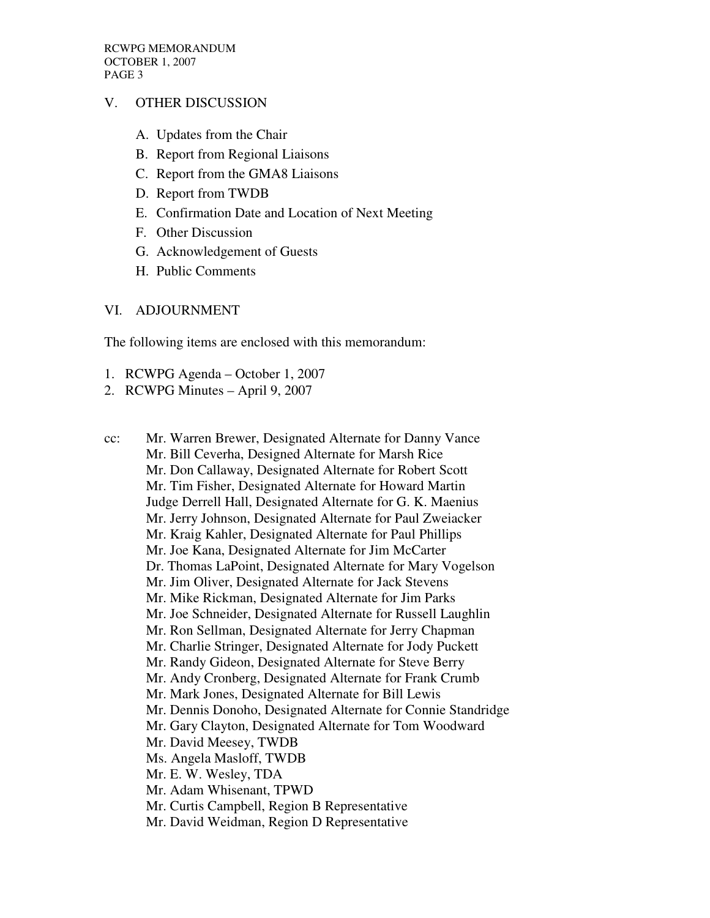## V. OTHER DISCUSSION

- A. Updates from the Chair
- B. Report from Regional Liaisons
- C. Report from the GMA8 Liaisons
- D. Report from TWDB
- E. Confirmation Date and Location of Next Meeting
- F. Other Discussion
- G. Acknowledgement of Guests
- H. Public Comments

### VI. ADJOURNMENT

The following items are enclosed with this memorandum:

- 1. RCWPG Agenda October 1, 2007
- 2. RCWPG Minutes April 9, 2007
- cc: Mr. Warren Brewer, Designated Alternate for Danny Vance Mr. Bill Ceverha, Designed Alternate for Marsh Rice Mr. Don Callaway, Designated Alternate for Robert Scott Mr. Tim Fisher, Designated Alternate for Howard Martin Judge Derrell Hall, Designated Alternate for G. K. Maenius Mr. Jerry Johnson, Designated Alternate for Paul Zweiacker Mr. Kraig Kahler, Designated Alternate for Paul Phillips Mr. Joe Kana, Designated Alternate for Jim McCarter Dr. Thomas LaPoint, Designated Alternate for Mary Vogelson Mr. Jim Oliver, Designated Alternate for Jack Stevens Mr. Mike Rickman, Designated Alternate for Jim Parks Mr. Joe Schneider, Designated Alternate for Russell Laughlin Mr. Ron Sellman, Designated Alternate for Jerry Chapman Mr. Charlie Stringer, Designated Alternate for Jody Puckett Mr. Randy Gideon, Designated Alternate for Steve Berry Mr. Andy Cronberg, Designated Alternate for Frank Crumb Mr. Mark Jones, Designated Alternate for Bill Lewis Mr. Dennis Donoho, Designated Alternate for Connie Standridge Mr. Gary Clayton, Designated Alternate for Tom Woodward Mr. David Meesey, TWDB Ms. Angela Masloff, TWDB Mr. E. W. Wesley, TDA Mr. Adam Whisenant, TPWD Mr. Curtis Campbell, Region B Representative Mr. David Weidman, Region D Representative